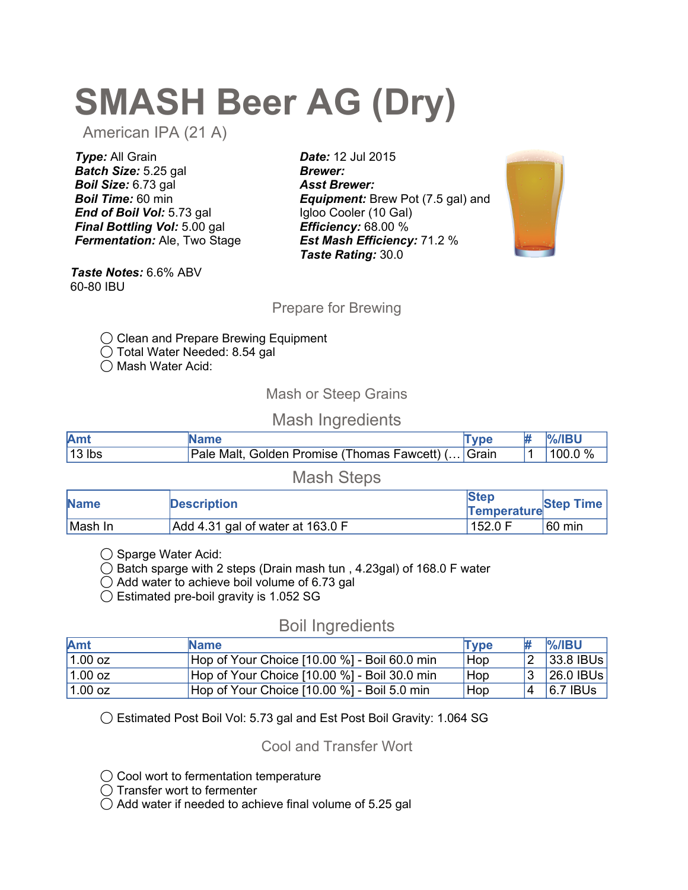# SMASH Beer AG (Dry)

American IPA (21 A)

**Type: All Grain** Batch Size: 5.25 gal Boil Size: 6.73 gal Boil Time: 60 min End of Boil Vol: 5.73 gal **Final Bottling Vol: 5.00 gal Fermentation: Ale, Two Stage** 

Date: 12 Jul 2015 Brewer: Asst Brewer: **Equipment:** Brew Pot (7.5 gal) and Igloo Cooler (10 Gal) Efficiency: 68.00 % Est Mash Efficiency: 71.2 % Taste Rating: 30.0



Taste Notes: 6.6% ABV 60-80 IBU

Prepare for Brewing

- ◯ Clean and Prepare Brewing Equipment
- ◯ Total Water Needed: 8.54 gal

◯ Mash Water Acid:

Mash or Steep Grains

## Mash Ingredients

| Am <sup>®</sup> |                                              |         |        |
|-----------------|----------------------------------------------|---------|--------|
| 13 lbs          | Pale Malt, Golden Promise (Thomas Fawcett) ( | ' Grain | 100.0% |

#### Mash Steps

| <b>Name</b> | <b>Description</b>               | <b>Step</b><br>Temperature <sup>Step</sup> Time |        |
|-------------|----------------------------------|-------------------------------------------------|--------|
| Mash In     | Add 4.31 gal of water at 163.0 F | 152.0 F                                         | 60 min |

◯ Sparge Water Acid:

◯ Batch sparge with 2 steps (Drain mash tun , 4.23gal) of 168.0 F water

 $\bigcirc$  Add water to achieve boil volume of 6.73 gal

◯ Estimated pre-boil gravity is 1.052 SG

## Boil Ingredients

| <b>Amt</b> | <b>Name</b>                                  | <b>Type</b> |                 | $\%$ /IBU    |
|------------|----------------------------------------------|-------------|-----------------|--------------|
| $1.00$ oz  | Hop of Your Choice [10.00 %] - Boil 60.0 min | Hop         | 12.             | $ 33.8$ IBUs |
| $1.00$ oz  | Hop of Your Choice [10.00 %] - Boil 30.0 min | Hop         | Ι3              | $ 26.0$ IBUs |
| $1.00$ oz  | Hop of Your Choice [10.00 %] - Boil 5.0 min  | Hop         | $\vert 4 \vert$ | $ 6.7 $ IBUs |

◯ Estimated Post Boil Vol: 5.73 gal and Est Post Boil Gravity: 1.064 SG

#### Cool and Transfer Wort

- ◯ Cool wort to fermentation temperature
- ◯ Transfer wort to fermenter
- $\bigcirc$  Add water if needed to achieve final volume of 5.25 gal